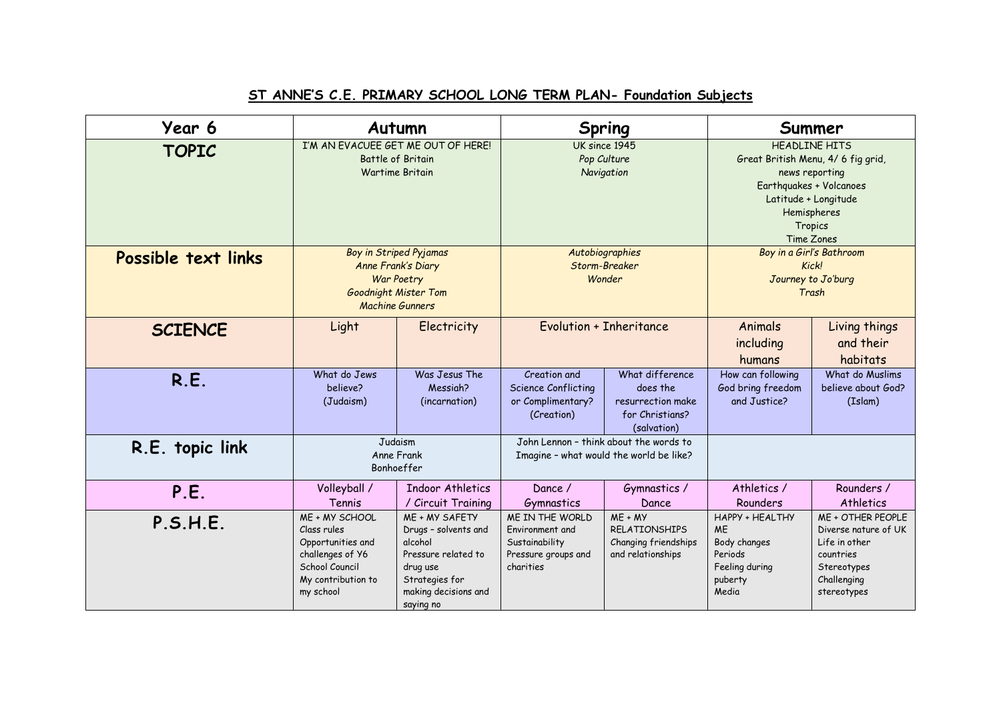## **ST ANNE'S C.E. PRIMARY SCHOOL LONG TERM PLAN- Foundation Subjects**

| Year 6              |                                                                                                                             | Autumn                                                                                                                                      |                                                                                          | Spring                                                                             |                                                                                                                                                                                                     | Summer                                                                                                               |  |
|---------------------|-----------------------------------------------------------------------------------------------------------------------------|---------------------------------------------------------------------------------------------------------------------------------------------|------------------------------------------------------------------------------------------|------------------------------------------------------------------------------------|-----------------------------------------------------------------------------------------------------------------------------------------------------------------------------------------------------|----------------------------------------------------------------------------------------------------------------------|--|
| <b>TOPIC</b>        |                                                                                                                             | I'M AN EVACUEE GET ME OUT OF HERE!<br><b>Battle of Britain</b><br><b>Wartime Britain</b>                                                    | UK since 1945<br>Pop Culture<br>Navigation                                               |                                                                                    | <b>HEADLINE HITS</b><br>Great British Menu, 4/ 6 fig grid,<br>news reporting<br>Earthquakes + Volcanoes<br>Latitude + Longitude<br>Hemispheres<br>Tropics<br>Time Zones<br>Boy in a Girl's Bathroom |                                                                                                                      |  |
| Possible text links |                                                                                                                             | Boy in Striped Pyjamas<br>Anne Frank's Diary<br>War Poetry<br><b>Goodnight Mister Tom</b><br><b>Machine Gunners</b>                         | Autobiographies<br>Storm-Breaker<br>Wonder                                               |                                                                                    | Kick!<br>Journey to Jo'burg<br>Trash                                                                                                                                                                |                                                                                                                      |  |
| <b>SCIENCE</b>      | Light                                                                                                                       | Electricity                                                                                                                                 |                                                                                          | <b>Evolution + Inheritance</b>                                                     | Animals<br>including<br>humans                                                                                                                                                                      | Living things<br>and their<br>habitats                                                                               |  |
| R.E.                | What do Jews<br>believe?<br>(Judaism)                                                                                       | Was Jesus The<br>Messigh?<br>(incarnation)                                                                                                  | Creation and<br><b>Science Conflicting</b><br>or Complimentary?<br>(Creation)            | What difference<br>does the<br>resurrection make<br>for Christians?<br>(salvation) | How can following<br>God bring freedom<br>and Justice?                                                                                                                                              | What do Muslims<br>believe about God?<br>(Islam)                                                                     |  |
| R.E. topic link     |                                                                                                                             | Judaism<br>Anne Frank<br>Bonhoeffer                                                                                                         | John Lennon - think about the words to<br>Imagine - what would the world be like?        |                                                                                    |                                                                                                                                                                                                     |                                                                                                                      |  |
| P.E.                | Volleyball /<br>Tennis                                                                                                      | <b>Indoor Athletics</b><br>/ Circuit Training                                                                                               | Dance /<br>Gymnastics                                                                    | Gymnastics /<br>Dance                                                              | Athletics /<br>Rounders                                                                                                                                                                             | Rounders /<br>Athletics                                                                                              |  |
| P.S.H.E.            | ME + MY SCHOOL<br>Class rules<br>Opportunities and<br>challenges of Y6<br>School Council<br>My contribution to<br>my school | ME + MY SAFETY<br>Drugs - solvents and<br>alcohol<br>Pressure related to<br>drug use<br>Strategies for<br>making decisions and<br>saying no | ME IN THE WORLD<br>Environment and<br>Sustainability<br>Pressure groups and<br>charities | $ME + MY$<br><b>RELATIONSHIPS</b><br>Changing friendships<br>and relationships     | <b>HAPPY + HEALTHY</b><br><b>ME</b><br>Body changes<br>Periods<br>Feeling during<br>puberty<br>Media                                                                                                | ME + OTHER PEOPLE<br>Diverse nature of UK<br>Life in other<br>countries<br>Stereotypes<br>Challenging<br>stereotypes |  |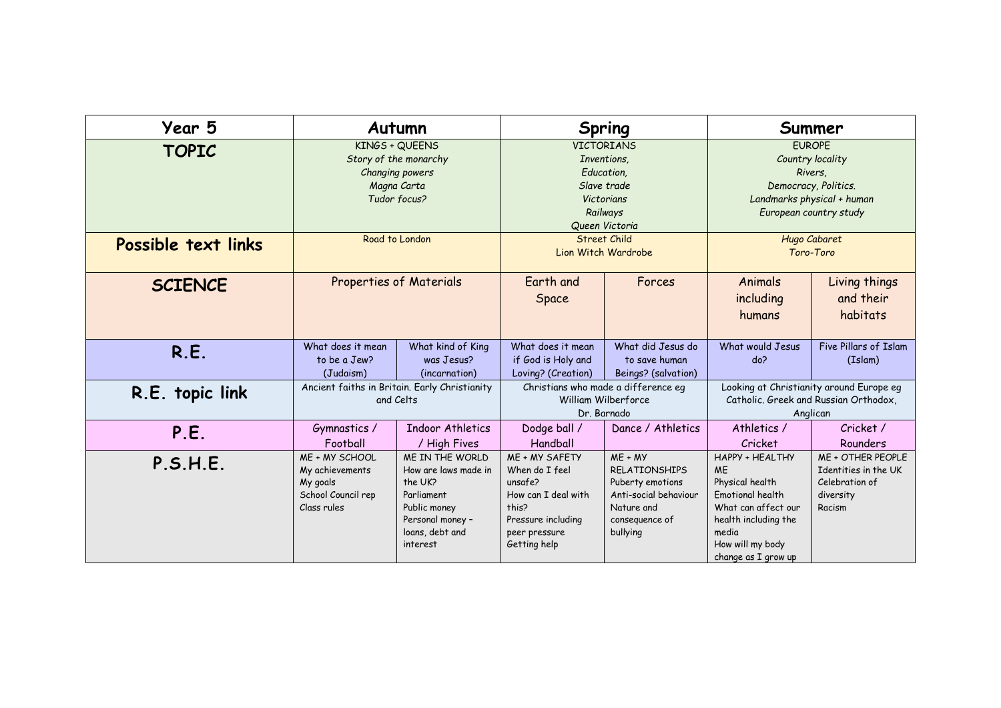| Year 5              |                    | Autumn                                        |                                     | Spring                | Summer                     |                                          |  |
|---------------------|--------------------|-----------------------------------------------|-------------------------------------|-----------------------|----------------------------|------------------------------------------|--|
| <b>TOPIC</b>        |                    | KINGS + QUEENS                                | <b>VICTORIANS</b>                   |                       | <b>EUROPE</b>              |                                          |  |
|                     |                    | Story of the monarchy                         | Inventions.                         |                       | Country locality           |                                          |  |
|                     |                    | Changing powers                               | Education,                          |                       | Rivers.                    |                                          |  |
|                     |                    | Magna Carta                                   |                                     | Slave trade           |                            | Democracy, Politics.                     |  |
|                     |                    | Tudor focus?                                  |                                     | Victorians            | Landmarks physical + human |                                          |  |
|                     |                    |                                               |                                     | Railways              |                            | European country study                   |  |
|                     |                    |                                               |                                     | Queen Victoria        |                            |                                          |  |
| Possible text links |                    | Road to London                                | <b>Street Child</b>                 |                       |                            | Hugo Cabaret                             |  |
|                     |                    |                                               |                                     | Lion Witch Wardrobe   |                            | Toro-Toro                                |  |
|                     |                    |                                               |                                     |                       |                            |                                          |  |
| <b>SCIENCE</b>      |                    | Properties of Materials                       | Earth and                           | Forces                | Animals                    | Living things                            |  |
|                     |                    |                                               | Space                               |                       | including                  | and their                                |  |
|                     |                    |                                               |                                     |                       |                            |                                          |  |
|                     |                    |                                               |                                     |                       | humans                     | habitats                                 |  |
|                     |                    |                                               |                                     |                       |                            |                                          |  |
| R.E.                | What does it mean  | What kind of King                             | What does it mean                   | What did Jesus do     | What would Jesus           | Five Pillars of Islam                    |  |
|                     | to be a Jew?       | was Jesus?                                    | if God is Holy and                  | to save human         | do?                        | (Islam)                                  |  |
|                     | (Judaism)          | (incarnation)                                 | Loving? (Creation)                  | Beings? (salvation)   |                            |                                          |  |
| R.E. topic link     |                    | Ancient faiths in Britain. Early Christianity | Christians who made a difference eg |                       |                            | Looking at Christianity around Europe eg |  |
|                     |                    | and Celts                                     | William Wilberforce                 |                       |                            | Catholic. Greek and Russian Orthodox,    |  |
|                     |                    |                                               |                                     | Dr. Barnado           | Anglican                   |                                          |  |
| P.E.                | Gymnastics /       | Indoor Athletics                              | Dodge ball /                        | Dance / Athletics     | Athletics /                | Cricket /                                |  |
|                     | Football           | / High Fives                                  | Handball                            |                       | Cricket                    | Rounders                                 |  |
| P.S.H.E.            | ME + MY SCHOOL     | ME IN THE WORLD                               | ME + MY SAFETY                      | $ME + MY$             | HAPPY + HEALTHY            | ME + OTHER PEOPLE                        |  |
|                     | My achievements    | How are laws made in                          | When do I feel                      | <b>RELATIONSHIPS</b>  | <b>ME</b>                  | Identities in the UK                     |  |
|                     | My goals           | the UK?                                       | unsafe?                             | Puberty emotions      | Physical health            | Celebration of                           |  |
|                     | School Council rep | Parliament                                    | How can I deal with                 | Anti-social behaviour | <b>Emotional health</b>    | diversity                                |  |
|                     | Class rules        | Public money                                  | this?                               | Nature and            | What can affect our        | Racism                                   |  |
|                     |                    | Personal money -                              | Pressure including                  | consequence of        | health including the       |                                          |  |
|                     |                    | loans, debt and                               | peer pressure                       | bullying              | media                      |                                          |  |
|                     |                    | interest                                      | Getting help                        |                       | How will my body           |                                          |  |
|                     |                    |                                               |                                     |                       | change as I grow up        |                                          |  |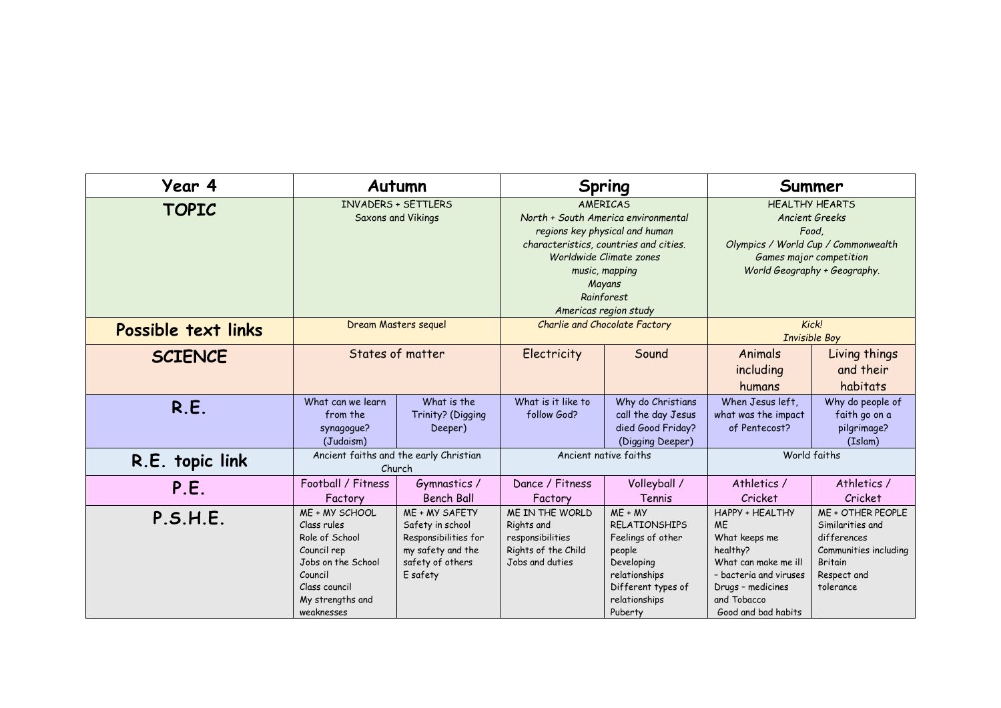| Year 4              |                                                                                                                                                                                                                                                                                                       | Autumn                                                                                                          |                                                                                                                                                    | Spring                                                                                                                                            |                                                                                                                                                                               | Summer                                                                                                                      |  |
|---------------------|-------------------------------------------------------------------------------------------------------------------------------------------------------------------------------------------------------------------------------------------------------------------------------------------------------|-----------------------------------------------------------------------------------------------------------------|----------------------------------------------------------------------------------------------------------------------------------------------------|---------------------------------------------------------------------------------------------------------------------------------------------------|-------------------------------------------------------------------------------------------------------------------------------------------------------------------------------|-----------------------------------------------------------------------------------------------------------------------------|--|
| <b>TOPIC</b>        | <b>INVADERS + SETTLERS</b><br>AMFRICAS<br>Saxons and Vikings<br>North + South America environmental<br>regions key physical and human<br>characteristics, countries and cities.<br>Worldwide Climate zones<br>music, mapping<br>Mayans<br>Rainforest<br>Americas region study<br>Dream Masters sequel |                                                                                                                 | <b>HEALTHY HEARTS</b><br>Ancient Greeks<br>Food,<br>Olympics / World Cup / Commonwealth<br>Games major competition<br>World Geography + Geography. |                                                                                                                                                   |                                                                                                                                                                               |                                                                                                                             |  |
| Possible text links |                                                                                                                                                                                                                                                                                                       |                                                                                                                 | <b>Charlie and Chocolate Factory</b>                                                                                                               |                                                                                                                                                   | Kick!<br><b>Invisible Boy</b>                                                                                                                                                 |                                                                                                                             |  |
| <b>SCIENCE</b>      |                                                                                                                                                                                                                                                                                                       | States of matter                                                                                                | Electricity                                                                                                                                        | Sound                                                                                                                                             | Animals<br>including<br>humans                                                                                                                                                | Living things<br>and their<br>habitats                                                                                      |  |
| R.E.                | What can we learn<br>from the<br>synagogue?<br>(Judaism)                                                                                                                                                                                                                                              | What is the<br>Trinity? (Digging<br>Deeper)                                                                     | What is it like to<br>follow God?                                                                                                                  | Why do Christians<br>call the day Jesus<br>died Good Friday?<br>(Digging Deeper)                                                                  | When Jesus left.<br>what was the impact<br>of Pentecost?                                                                                                                      | Why do people of<br>faith go on a<br>pilgrimage?<br>(Islam)                                                                 |  |
| R.E. topic link     |                                                                                                                                                                                                                                                                                                       | Ancient faiths and the early Christian<br>Church                                                                |                                                                                                                                                    | Ancient native faiths                                                                                                                             |                                                                                                                                                                               | World faiths                                                                                                                |  |
| P.E.                | Football / Fitness<br>Factory                                                                                                                                                                                                                                                                         | Gymnastics /<br><b>Bench Ball</b>                                                                               | Dance / Fitness<br>Factory                                                                                                                         | Volleyball /<br>Tennis                                                                                                                            | Athletics /<br>Cricket                                                                                                                                                        | Athletics /<br>Cricket                                                                                                      |  |
| P.S.H.E.            | ME + MY SCHOOL<br>Class rules<br>Role of School<br>Council rep<br>Jobs on the School<br>Council<br>Class council<br>My strengths and<br>weaknesses                                                                                                                                                    | ME + MY SAFETY<br>Safety in school<br>Responsibilities for<br>my safety and the<br>safety of others<br>E safety | ME IN THE WORLD<br>Rights and<br>responsibilities<br>Rights of the Child<br>Jobs and duties                                                        | $ME + MY$<br><b>RELATIONSHIPS</b><br>Feelings of other<br>people<br>Developing<br>relationships<br>Different types of<br>relationships<br>Puberty | <b>HAPPY + HEALTHY</b><br><b>ME</b><br>What keeps me<br>healthy?<br>What can make me ill<br>- bacteria and viruses<br>Drugs - medicines<br>and Tobacco<br>Good and bad habits | ME + OTHER PEOPLE<br>Similarities and<br>differences<br>Communities including<br><b>Britain</b><br>Respect and<br>tolerance |  |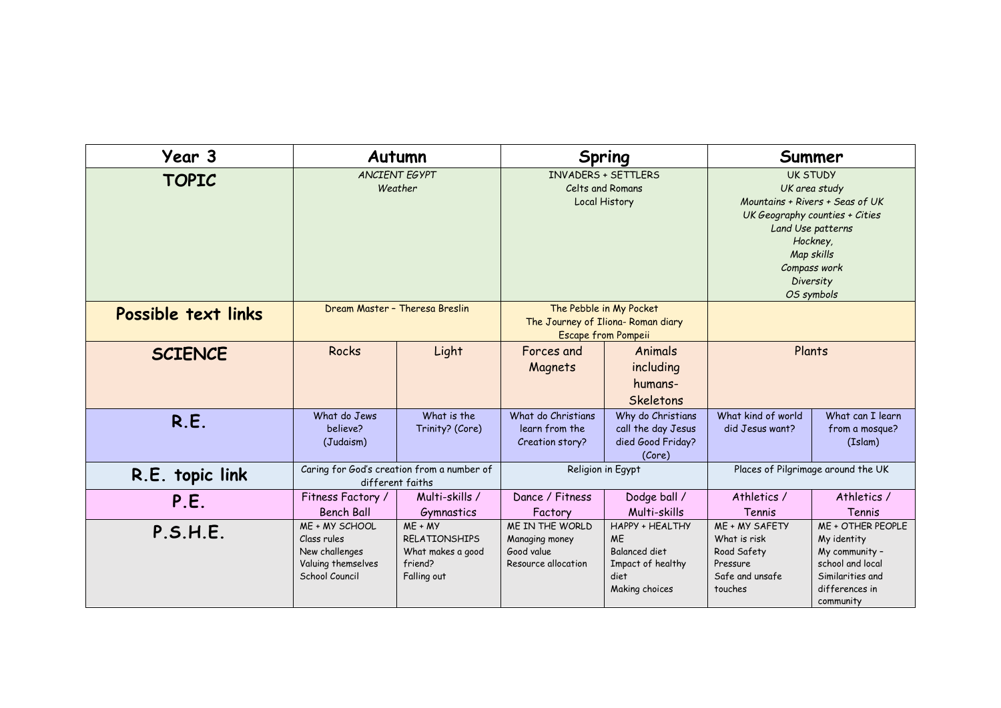| Year 3              |                                                                                         | Autumn                                                                           |                                                                                             | Spring                                                                                                     |                                                                                                                                                                                                 | Summer                                                                                                                    |
|---------------------|-----------------------------------------------------------------------------------------|----------------------------------------------------------------------------------|---------------------------------------------------------------------------------------------|------------------------------------------------------------------------------------------------------------|-------------------------------------------------------------------------------------------------------------------------------------------------------------------------------------------------|---------------------------------------------------------------------------------------------------------------------------|
| <b>TOPIC</b>        |                                                                                         | <b>ANCIENT EGYPT</b><br>Weather                                                  | <b>INVADERS + SETTLERS</b><br>Celts and Romans<br>Local History                             |                                                                                                            | <b>UK STUDY</b><br>UK area study<br>Mountains + Rivers + Seas of UK<br>UK Geography counties + Cities<br>Land Use patterns<br>Hockney,<br>Map skills<br>Compass work<br>Diversity<br>OS symbols |                                                                                                                           |
| Possible text links |                                                                                         | Dream Master - Theresa Breslin                                                   | The Pebble in My Pocket<br>The Journey of Iliona- Roman diary<br><b>Escape from Pompeii</b> |                                                                                                            |                                                                                                                                                                                                 |                                                                                                                           |
| <b>SCIENCE</b>      | Rocks                                                                                   | Light                                                                            | Forces and<br>Magnets                                                                       | Animals<br>including<br>humans-<br>Skeletons                                                               |                                                                                                                                                                                                 | Plants                                                                                                                    |
| R.E.                | What do Jews<br>believe?<br>(Judaism)                                                   | What is the<br>Trinity? (Core)                                                   | What do Christians<br>learn from the<br>Creation story?                                     | Why do Christians<br>call the day Jesus<br>died Good Friday?<br>(Core)                                     | What kind of world<br>did Jesus want?                                                                                                                                                           | What can I learn<br>from a mosque?<br>(Islam)                                                                             |
| R.E. topic link     |                                                                                         | Caring for God's creation from a number of<br>different faiths                   | Religion in Egypt                                                                           |                                                                                                            | Places of Pilgrimage around the UK                                                                                                                                                              |                                                                                                                           |
| P.E.                | Fitness Factory /<br><b>Bench Ball</b>                                                  | Multi-skills /<br>Gymnastics                                                     | Dance / Fitness<br>Factory                                                                  | Dodge ball /<br>Multi-skills                                                                               | Athletics /<br>Tennis                                                                                                                                                                           | Athletics /<br>Tennis                                                                                                     |
| P.S.H.E.            | ME + MY SCHOOL<br>Class rules<br>New challenges<br>Valuing themselves<br>School Council | $ME + MY$<br><b>RFLATIONSHIPS</b><br>What makes a good<br>friend?<br>Falling out | ME IN THE WORLD<br>Managing money<br>Good value<br>Resource allocation                      | <b>HAPPY + HEALTHY</b><br><b>ME</b><br><b>Balanced diet</b><br>Impact of healthy<br>diet<br>Making choices | ME + MY SAFETY<br>What is risk<br>Road Safety<br>Pressure<br>Safe and unsafe<br>touches                                                                                                         | ME + OTHER PEOPLE<br>My identity<br>My community -<br>school and local<br>Similarities and<br>differences in<br>community |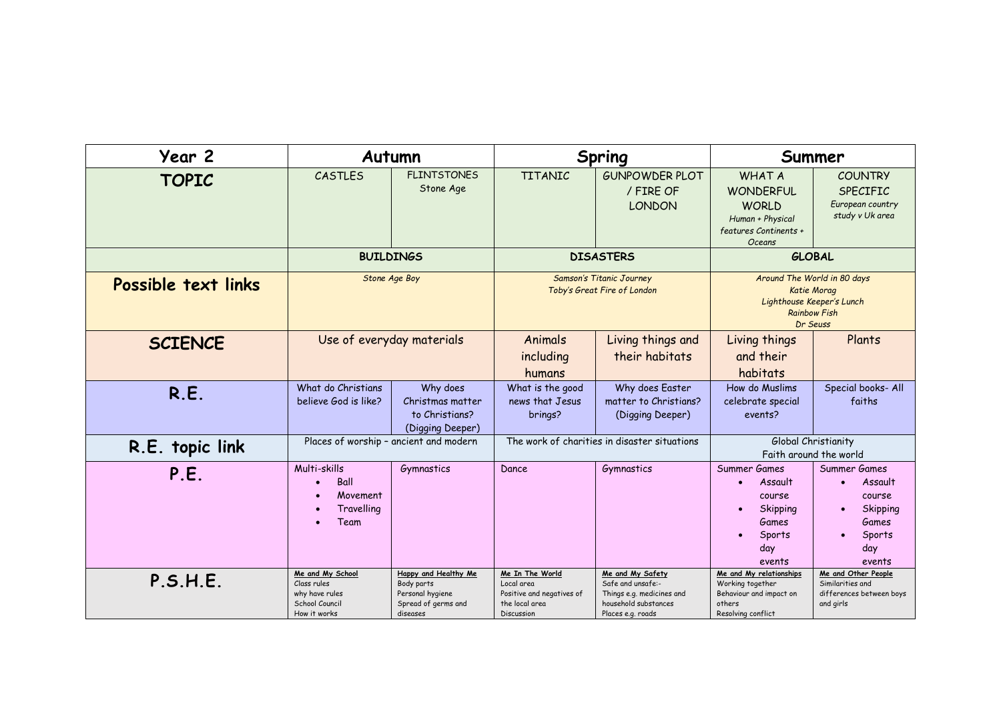| Year 2              |                                                                                     | Autumn                                                                                    |                                                                                            | Spring                                                                                                          |                                                                                                                 | Summer                                                                                                      |  |
|---------------------|-------------------------------------------------------------------------------------|-------------------------------------------------------------------------------------------|--------------------------------------------------------------------------------------------|-----------------------------------------------------------------------------------------------------------------|-----------------------------------------------------------------------------------------------------------------|-------------------------------------------------------------------------------------------------------------|--|
| <b>TOPIC</b>        | CASTLES                                                                             | <b>FLINTSTONES</b><br>Stone Age                                                           | <b>TITANIC</b>                                                                             | <b>GUNPOWDER PLOT</b><br>/ FIRE OF<br><b>LONDON</b>                                                             | <b>WHAT A</b><br><b>WONDERFUL</b><br><b>WORLD</b><br>Human + Physical<br>features Continents +<br><b>Oceans</b> | <b>COUNTRY</b><br><b>SPECIFIC</b><br>European country<br>study v Uk area                                    |  |
|                     |                                                                                     | <b>BUILDINGS</b>                                                                          |                                                                                            | <b>DISASTERS</b>                                                                                                |                                                                                                                 | <b>GLOBAL</b>                                                                                               |  |
| Possible text links |                                                                                     | Stone Age Boy<br><b>Samson's Titanic Journey</b><br>Toby's Great Fire of London           |                                                                                            | Around The World in 80 days<br>Katie Morag<br>Lighthouse Keeper's Lunch<br><b>Rainbow Fish</b><br>Dr Seuss      |                                                                                                                 |                                                                                                             |  |
| <b>SCIENCE</b>      |                                                                                     | Use of everyday materials                                                                 | Animals<br>including<br>humans                                                             | Living things and<br>their habitats                                                                             | Living things<br>and their<br>habitats                                                                          | Plants                                                                                                      |  |
| R.E.                | What do Christians<br>believe God is like?                                          | Why does<br>Christmas matter<br>to Christians?<br>(Digging Deeper)                        | What is the good<br>news that Jesus<br>brings?                                             | Why does Easter<br>matter to Christians?<br>(Digging Deeper)                                                    | How do Muslims<br>celebrate special<br>events?                                                                  | Special books- All<br>faiths                                                                                |  |
| R.E. topic link     | Places of worship - ancient and modern                                              |                                                                                           | The work of charities in disaster situations                                               |                                                                                                                 | Global Christianity<br>Faith around the world                                                                   |                                                                                                             |  |
| P.E.                | Multi-skills<br>Ball<br>Movement<br>Travelling<br>Team                              | Gymnastics                                                                                | Dance                                                                                      | Gymnastics                                                                                                      | Summer Games<br>Assault<br>course<br>Skipping<br>Games<br>Sports<br>day<br>events                               | Summer Games<br>Assault<br>$\bullet$<br>course<br>Skipping<br>$\bullet$<br>Games<br>Sports<br>day<br>events |  |
| P.S.H.E.            | Me and My School<br>Class rules<br>why have rules<br>School Council<br>How it works | Happy and Healthy Me<br>Body parts<br>Personal hygiene<br>Spread of germs and<br>diseases | Me In The World<br>Local area<br>Positive and negatives of<br>the local area<br>Discussion | Me and My Safety<br>Safe and unsafe:-<br>Things e.g. medicines and<br>household substances<br>Places e.g. roads | Me and My relationships<br>Working together<br>Behaviour and impact on<br>others<br>Resolving conflict          | Me and Other People<br>Similarities and<br>differences between boys<br>and girls                            |  |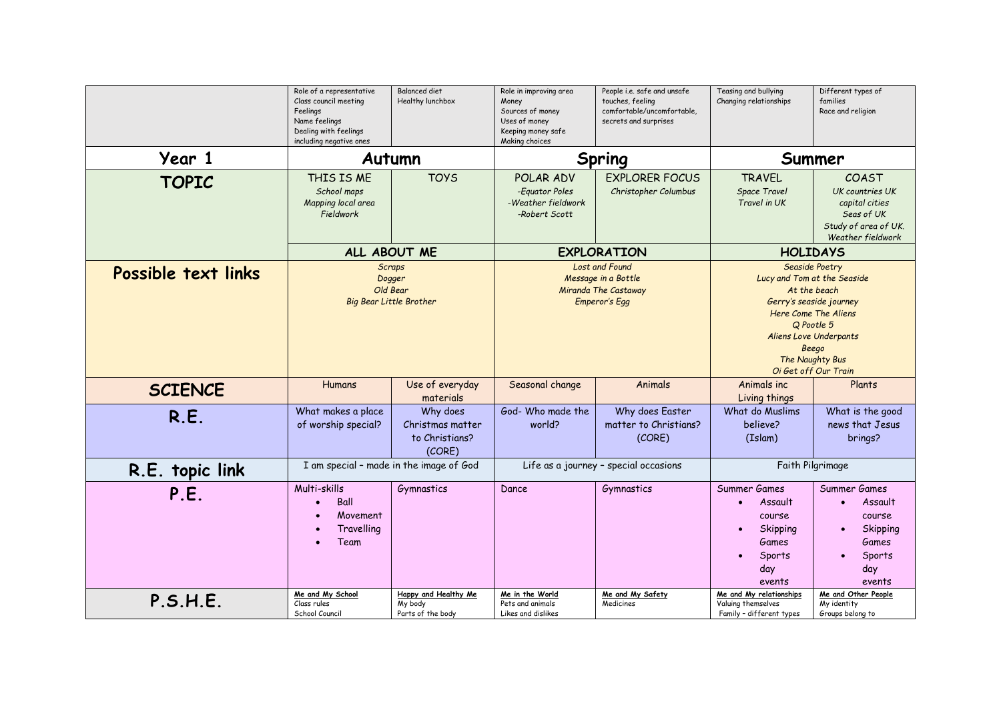|                     | Role of a representative<br>Class council meeting<br>Feelings<br>Name feelings<br>Dealing with feelings<br>including negative ones | <b>Balanced diet</b><br>Healthy lunchbox                              | Role in improving area<br>Money<br>Sources of money<br>Uses of money<br>Keeping money safe<br>Making choices | People i.e. safe and unsafe<br>touches, feeling<br>comfortable/uncomfortable,<br>secrets and surprises | Teasing and bullying<br>Changing relationships                                                                                                                                                                      | Different types of<br>families<br>Race and religion                                                                             |  |
|---------------------|------------------------------------------------------------------------------------------------------------------------------------|-----------------------------------------------------------------------|--------------------------------------------------------------------------------------------------------------|--------------------------------------------------------------------------------------------------------|---------------------------------------------------------------------------------------------------------------------------------------------------------------------------------------------------------------------|---------------------------------------------------------------------------------------------------------------------------------|--|
| Year 1              |                                                                                                                                    | Autumn                                                                |                                                                                                              | Spring                                                                                                 |                                                                                                                                                                                                                     | Summer                                                                                                                          |  |
| <b>TOPIC</b>        | THIS IS ME<br>School maps<br>Mapping local area<br>Fieldwork                                                                       | <b>TOYS</b>                                                           | POLAR ADV<br>-Equator Poles<br>-Weather fieldwork<br>-Robert Scott                                           | <b>EXPLORER FOCUS</b><br>Christopher Columbus                                                          | <b>TRAVEL</b><br><b>Space Travel</b><br>Travel in UK                                                                                                                                                                | COAST<br>UK countries UK<br>capital cities<br>Seas of UK<br>Study of area of UK.<br>Weather fieldwork                           |  |
|                     |                                                                                                                                    | ALL ABOUT ME                                                          |                                                                                                              | <b>EXPLORATION</b>                                                                                     |                                                                                                                                                                                                                     | <b>HOLIDAYS</b>                                                                                                                 |  |
| Possible text links |                                                                                                                                    | <b>Scraps</b><br>Dogger<br>Old Bear<br><b>Big Bear Little Brother</b> | Lost and Found<br>Message in a Bottle<br>Miranda The Castaway<br>Emperor's Egg                               |                                                                                                        | Seaside Poetry<br>Lucy and Tom at the Seaside<br>At the beach<br>Gerry's seaside journey<br>Here Come The Aliens<br>Q Pootle 5<br><b>Aliens Love Underpants</b><br>Beego<br>The Naughty Bus<br>Oi Get off Our Train |                                                                                                                                 |  |
| <b>SCIENCE</b>      | <b>Humans</b>                                                                                                                      | Use of everyday<br>materials                                          | Seasonal change                                                                                              | Animals                                                                                                | Animals inc.<br>Living things                                                                                                                                                                                       | Plants                                                                                                                          |  |
| R.E.                | What makes a place<br>of worship special?                                                                                          | Why does<br>Christmas matter<br>to Christians?<br>(CORE)              | God- Who made the<br>world?                                                                                  | Why does Easter<br>matter to Christians?<br>(CORE)                                                     | What do Muslims<br>believe?<br>(Islam)                                                                                                                                                                              | What is the good<br>news that Jesus<br>brings?                                                                                  |  |
| R.E. topic link     |                                                                                                                                    | I am special - made in the image of God                               | Life as a journey - special occasions                                                                        |                                                                                                        | Faith Pilgrimage                                                                                                                                                                                                    |                                                                                                                                 |  |
| P.E.                | Multi-skills<br>Ball<br>Movement<br>Travelling<br>Team                                                                             | Gymnastics                                                            | Dance                                                                                                        | Gymnastics                                                                                             | Summer Games<br>Assault<br>course<br>Skipping<br>Games<br>Sports<br>day<br>events                                                                                                                                   | Summer Games<br>Assault<br>$\bullet$<br>course<br>Skipping<br>$\bullet$<br><b>Games</b><br>Sports<br>$\bullet$<br>day<br>events |  |
| P.S.H.E.            | Me and My School<br>Class rules<br>School Council                                                                                  | Happy and Healthy Me<br>My body<br>Parts of the body                  | Me in the World<br>Pets and animals<br>Likes and dislikes                                                    | Me and My Safety<br>Medicines                                                                          | Me and My relationships<br>Valuing themselves<br>Family - different types                                                                                                                                           | Me and Other People<br>My identity<br>Groups belong to                                                                          |  |